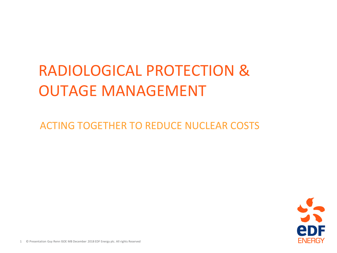# RADIOLOGICAL PROTECTION & OUTAGE MANAGEMENT

ACTING TOGETHER TO REDUCE NUCLEAR COSTS

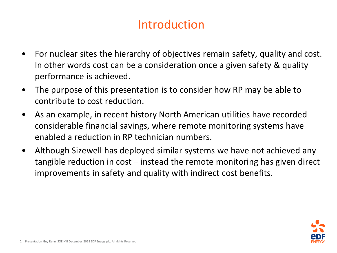### Introduction

- For nuclear sites the hierarchy of objectives remain safety, quality and cost. In other words cost can be a consideration once a given safety & quality performance is achieved.
- The purpose of this presentation is to consider how RP may be able to contribute to cost reduction.
- As an example, in recent history North American utilities have recorded considerable financial savings, where remote monitoring systems have enabled a reduction in RP technician numbers.
- Although Sizewell has deployed similar systems we have not achieved any tangible reduction in cost – instead the remote monitoring has given direct improvements in safety and quality with indirect cost benefits.

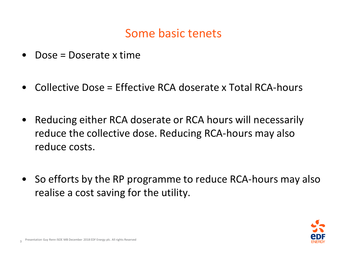#### Some basic tenets

- Dose = Doserate x time
- Collective Dose = Effective RCA doserate x Total RCA-hours
- Reducing either RCA doserate or RCA hours will necessarily reduce the collective dose. Reducing RCA-hours may also reduce costs.
- So efforts by the RP programme to reduce RCA-hours may also realise a cost saving for the utility.

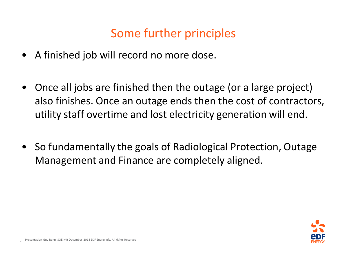## Some further principles

- A finished job will record no more dose.
- Once all jobs are finished then the outage (or a large project) also finishes. Once an outage ends then the cost of contractors, utility staff overtime and lost electricity generation will end.
- So fundamentally the goals of Radiological Protection, Outage Management and Finance are completely aligned.

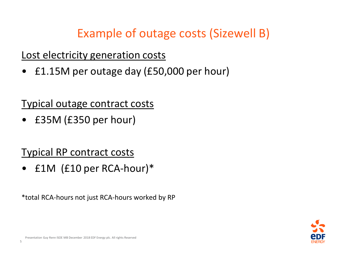Example of outage costs (Sizewell B)

Lost electricity generation costs

• £1.15M per outage day (£50,000 per hour)

Typical outage contract costs

• £35M (£350 per hour)

Typical RP contract costs

• £1M (£10 per RCA-hour)\*

\*total RCA-hours not just RCA-hours worked by RP

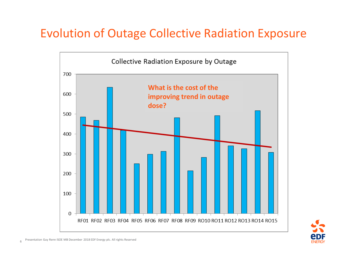#### Evolution of Outage Collective Radiation Exposure



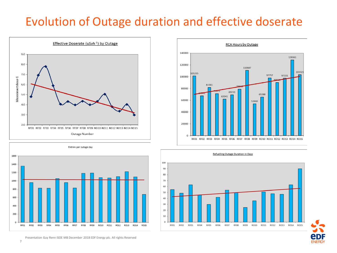#### Evolution of Outage duration and effective doserate











Presentation Guy Renn ISOE MB December 2018 EDF Energy plc. All rights Reserved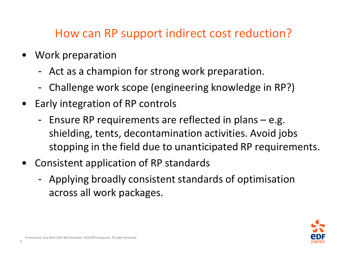#### How can RP support indirect cost reduction?

- Work preparation
	- Act as a champion for strong work preparation.
	- Challenge work scope (engineering knowledge in RP?)
- Early integration of RP controls
	- Ensure RP requirements are reflected in plans e.g. shielding, tents, decontamination activities. Avoid jobs stopping in the field due to unanticipated RP requirements.
- Consistent application of RP standards
	- Applying broadly consistent standards of optimisation across all work packages.

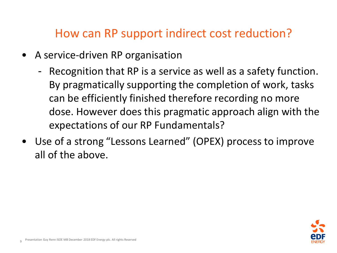#### How can RP support indirect cost reduction?

- A service-driven RP organisation
	- Recognition that RP is a service as well as a safety function. By pragmatically supporting the completion of work, tasks can be efficiently finished therefore recording no more dose. However does this pragmatic approach align with the expectations of our RP Fundamentals?
- Use of a strong "Lessons Learned" (OPEX) process to improve all of the above.

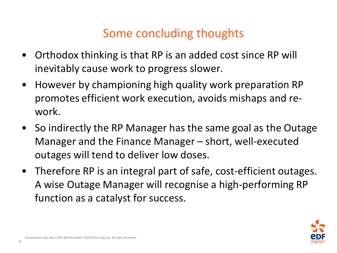#### Some concluding thoughts

- Orthodox thinking is that RP is an added cost since RP will inevitably cause work to progress slower.
- However by championing high quality work preparation RP promotes efficient work execution, avoids mishaps and rework.
- So indirectly the RP Manager has the same goal as the Outage Manager and the Finance Manager – short, well-executed outages will tend to deliver low doses.
- Therefore RP is an integral part of safe, cost-efficient outages. A wise Outage Manager will recognise a high-performing RP function as a catalyst for success.